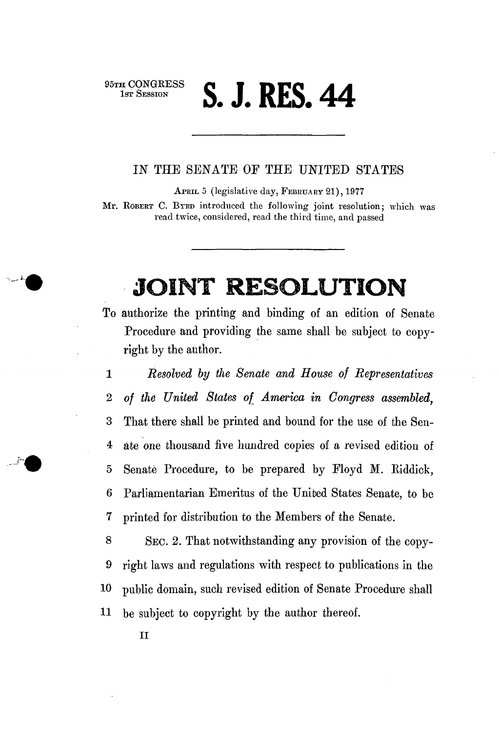<sup>95TH CONGRESS</sup> **5. J. RES. 44** 

## IN THE SENATE OE THE UNITED STATES

APRIL 5 (legislative day, FEBRUARY 21), 1977

Mr. ROBERT C. BYRD introduced the following joint resolution; which was read twice, considered, read the third time, and passed

## **JOINT RESOLUTION**

To authorize the printing and binding of an edition of Senate Procedure and providing the same shall be subject to copyright by the author.

1 *Resolved by the Senate and House of Representatives*  2 *of the United States of America in Congress assembled,*  3 That there shall be printed and bound for the use of the Sen-4 ate one thousand five hundred copies of a revised edition of 5 Senate Procedure, to be prepared by Floyd M. Eiddick, 6 Parliamentarian Emeritus of the United States Senate, to be 7 printed for distribution to the Members of the Senate.

8 SEC. 2. That notwithstanding any provision of the copy-9 right laws and regulations with respect to publications in the 10 public domain, such revised edition of Senate Procedure shall 11 be subject to copyright by the author thereof.

II